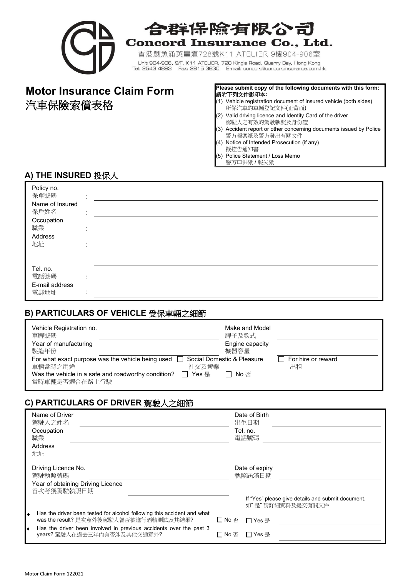

# 合群保除有限公司 **Concord Insurance Co., Ltd.**

香港鰂魚涌英皇道728號K11 ATELIER 9樓904-906室 Unit 904-906, 9/F, K11 ATELIER, 728 King's Road, Quarry Bay, Hong Kong Tel: 2543 4893 Fax: 2815 3630 E-mail: concord@concordinsurance.com.hk

#### **Motor Insurance Claim Form** Please submit copy of the following documents with this form: 請附下列文件影印本**:**

- 汽車保險索償表格 (1) Vehicle registration document of insured vehicle (both sides) 所保汽車的車輛登記文件(正背面)
	- (2) Valid driving licence and Identity Card of the driver 駕駛人之有效的駕駛執照及身份證
	- (3) Accident report or other concerning documents issued by Police 警方報案紙及警方發出有關文件
	- (4) Notice of Intended Prosecution (if any)
	- 擬控告通知書
	- (5) Police Statement / Loss Memo
		- 警方口供紙 / 報失紙

#### **A) THE INSURED** 投保人

| Policy no.<br>保單號碼<br>Name of Insured<br>保戶姓名<br>Occupation<br>職業<br>Address<br>地址 | $\cdot$<br>$\mathbf{r}$<br>$\mathbf{r}$ |  |
|------------------------------------------------------------------------------------|-----------------------------------------|--|
| Tel. no.<br>電話號碼<br>E-mail address<br>電郵地址                                         | $\sim$<br>$\mathbf{r}$<br>$\cdot$       |  |

#### **B) PARTICULARS OF VEHICLE** 受保車輛之細節

| Vehicle Registration no.<br>車牌號碼<br>Year of manufacturing    | Make and Model<br>牌子及款式<br>Engine capacity |                    |
|--------------------------------------------------------------|--------------------------------------------|--------------------|
| 製造年份                                                         | 機器容量                                       |                    |
| For what exact purpose was the vehicle being used            | Social Domestic & Pleasure                 | For hire or reward |
| 社交及遊樂<br>車輛當時之用途                                             |                                            | 出租                 |
| Was the vehicle in a safe and roadworthy condition?<br>Yes 륜 | │ No 否<br>$\mathbf{I}$                     |                    |

#### **C) PARTICULARS OF DRIVER** 駕駛人之細節

| Name of Driver<br>駕駛人之姓名<br>Occupation<br>職業<br>Address<br>地址                                                          | Date of Birth<br>出生日期<br>Tel. no.<br>電話號碼                             |
|------------------------------------------------------------------------------------------------------------------------|-----------------------------------------------------------------------|
| Driving Licence No.<br>駕駛執照號碼<br>Year of obtaining Driving Licence<br>首次考獲駕駛執照日期                                       | Date of expiry<br>執照屆滿日期                                              |
|                                                                                                                        | If "Yes" please give details and submit document.<br>如"是"請詳細資料及提交有關文件 |
| Has the driver been tested for alcohol following this accident and what<br>۰<br>was the result? 是次意外後駕駛人曾否被進行酒精測試及其結果? | □ No 否<br>□ Yes 是                                                     |
| Has the driver been involved in previous accidents over the past 3<br>years? 駕駛人在過去三年內有否涉及其他交通意外?                      | $\Box$ Yes 是<br>l INo 否                                               |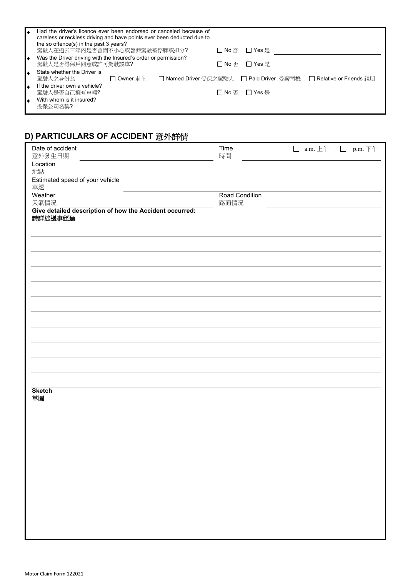| Had the driver's licence ever been endorsed or canceled because of<br>careless or reckless driving and have points ever been deducted due to<br>the so offence(s) in the past 3 years? |                                             |  |                |                                                                   |
|----------------------------------------------------------------------------------------------------------------------------------------------------------------------------------------|---------------------------------------------|--|----------------|-------------------------------------------------------------------|
| 駕駛人在過去三年內是否曾因不小心或魯莽駕駛被停牌或扣分?                                                                                                                                                           |                                             |  | □ No 否 □ Yes 是 |                                                                   |
| Was the Driver driving with the Insured's order or permission?<br>駕駛人是否得保戶同意或許可駕駛該車?                                                                                                   |                                             |  | □ No 否 □ Yes 是 |                                                                   |
| State whether the Driver is<br>駕駛人之身份為                                                                                                                                                 | $\Box$ Owner $\bar{\mathbb{E}} \ddot{\top}$ |  |                | □ Named Driver 受保之駕駛人 □ Paid Driver 受薪司機 □ Relative or Friends 親朋 |
| If the driver own a vehicle?<br>駕駛人是否自己擁有車輛?                                                                                                                                           |                                             |  | □ No 否 □ Yes 是 |                                                                   |
| With whom is it insured?<br>投保公司名稱?                                                                                                                                                    |                                             |  |                |                                                                   |

### **D) PARTICULARS OF ACCIDENT** 意外詳情

| Date of accident<br>意外發生日期                                         | Time<br>時間             | $\Box$ a.m. $\pm \mp$ | p.m. 下午<br>$\Box$ |
|--------------------------------------------------------------------|------------------------|-----------------------|-------------------|
| Location<br>地點                                                     |                        |                       |                   |
| Estimated speed of your vehicle<br>車速                              |                        |                       |                   |
| Weather<br>天氣情況                                                    | Road Condition<br>路面情況 |                       |                   |
| Give detailed description of how the Accident occurred:<br>請詳述遇事經過 |                        |                       |                   |
|                                                                    |                        |                       |                   |
|                                                                    |                        |                       |                   |
|                                                                    |                        |                       |                   |
|                                                                    |                        |                       |                   |
|                                                                    |                        |                       |                   |
|                                                                    |                        |                       |                   |
|                                                                    |                        |                       |                   |
|                                                                    |                        |                       |                   |
|                                                                    |                        |                       |                   |
|                                                                    |                        |                       |                   |
|                                                                    |                        |                       |                   |
| <b>Sketch</b><br>草圖                                                |                        |                       |                   |
|                                                                    |                        |                       |                   |
|                                                                    |                        |                       |                   |
|                                                                    |                        |                       |                   |
|                                                                    |                        |                       |                   |
|                                                                    |                        |                       |                   |
|                                                                    |                        |                       |                   |
|                                                                    |                        |                       |                   |
|                                                                    |                        |                       |                   |
|                                                                    |                        |                       |                   |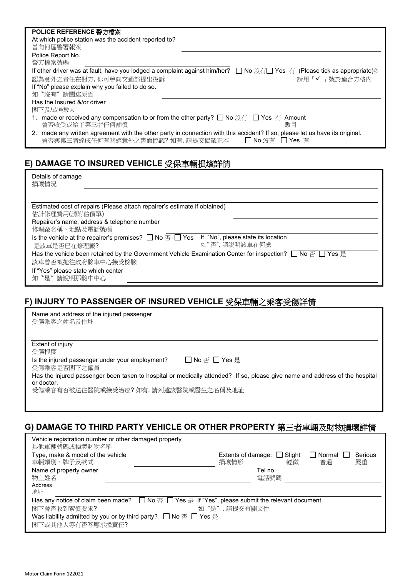| POLICE REFERENCE 警方檔案                                                                                                                                                                |
|--------------------------------------------------------------------------------------------------------------------------------------------------------------------------------------|
| At which police station was the accident reported to?                                                                                                                                |
| 曾向何區警署報案                                                                                                                                                                             |
| Police Report No.                                                                                                                                                                    |
| 警方檔案號碼                                                                                                                                                                               |
| If other driver was at fault, have you lodged a complaint against him/her? □ No 沒有□ Yes 有 (Please tick as appropriate)如                                                              |
| 請用「✔」號於適合方格內<br>認為意外之責任在對方,你可曾向交通部提出投訴                                                                                                                                               |
| If "No" please explain why you failed to do so.                                                                                                                                      |
| 如 "沒有"請闡述原因                                                                                                                                                                          |
| Has the Insured &/or driver                                                                                                                                                          |
| 閣下及/或駕駛人                                                                                                                                                                             |
| 1. made or received any compensation to or from the other party? □ No 沒有 □ Yes 有 Amount<br>曾否收受或給予第三者任何補償<br>數目                                                                      |
| 2. made any written agreement with the other party in connection with this accident? If so, please let us have its original.<br>曾否與第三者達成任何有關這意外之書面協議? 如有, 請提交協議正本<br>□ No 沒有 □ Yes 有 |

### **E) DAMAGE TO INSURED VEHICLE** 受保車輛損壞詳情

| Details of damage<br>損壞情況                                                                                                                                                                                                                                                                                                                                                                                                                                                                                                                                 |  |
|-----------------------------------------------------------------------------------------------------------------------------------------------------------------------------------------------------------------------------------------------------------------------------------------------------------------------------------------------------------------------------------------------------------------------------------------------------------------------------------------------------------------------------------------------------------|--|
| Estimated cost of repairs (Please attach repairer's estimate if obtained)<br>估計修理費用(請附估價單)<br>Repairer's name, address & telephone number<br>修理廠名稱、地點及電話號碼<br>Is the vehicle at the repairer's premises? $\Box$ No $\overline{\triangle}$ $\Box$ Yes If "No", please state its location<br>如"否",請說明該車在何處<br>是該車是否已在修理廠?<br>Has the vehicle been retained by the Government Vehicle Examination Center for inspection? $\square$ No $\overline{\triangle}$ $\square$ Yes $\overline{\triangle}$<br>該車曾否被拖往政府驗車中心接受檢驗<br>If "Yes" please state which center |  |
| 如"是"請說明那驗車中心                                                                                                                                                                                                                                                                                                                                                                                                                                                                                                                                              |  |

#### **F) INJURY TO PASSENGER OF INSURED VEHICLE** 受保車輛之乘客受傷詳情

| Name and address of the injured passenger<br>受傷乘客之姓名及住址        |                                                                                                                             |
|----------------------------------------------------------------|-----------------------------------------------------------------------------------------------------------------------------|
| Extent of injury<br>受傷程度                                       |                                                                                                                             |
| Is the injured passenger under your employment?<br>受傷乘客是否閣下之僱員 | □ No 否 □ Yes 是                                                                                                              |
| or doctor.<br>受傷乘客有否被送往醫院或接受治療? 如有,請列述該醫院或醫生之名稱及地址             | Has the injured passenger been taken to hospital or medically attended? If so, please give name and address of the hospital |
|                                                                |                                                                                                                             |

### **G) DAMAGE TO THIRD PARTY VEHICLE OR OTHER PROPERTY** 第三者車輛及財物損壞詳情

| Vehicle registration number or other damaged property<br>其他車輛號碼或損壞財物名稱                                                                                |                              |                               |
|-------------------------------------------------------------------------------------------------------------------------------------------------------|------------------------------|-------------------------------|
| Type, make & model of the vehicle                                                                                                                     | Slight<br>Extents of damage: | Serious<br>Normal<br>普涌<br>嚴重 |
| 車輛類別、牌子及款式<br>Name of property owner                                                                                                                  | 損壞情形<br>輕微<br>Tel no.        |                               |
| 物主姓名                                                                                                                                                  | 電話號碼                         |                               |
| Address                                                                                                                                               |                              |                               |
| 地址                                                                                                                                                    |                              |                               |
| Has any notice of claim been made? $\Box$ No $\overline{\triangle}$ $\Box$ Yes $\overline{\mathbb{R}}$ If "Yes", please submit the relevant document. |                              |                               |
| 閣下曾否收到索償要求?                                                                                                                                           | 如"是",請提交有關文件                 |                               |
| Was liability admitted by you or by third party? □ No 否 □ Yes 是<br>閣下或其他人等有否答應承擔責任?                                                                   |                              |                               |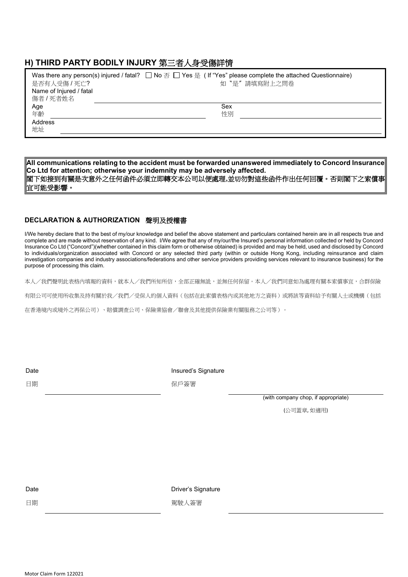#### **H) THIRD PARTY BODILY INJURY** 第三者人身受傷詳情

|                         | Was there any person(s) injured / fatal? $\Box$ No $\overline{\land}$ $\Box$ Yes $\frac{\pi}{6}$ ( If "Yes" please complete the attached Questionnaire) |
|-------------------------|---------------------------------------------------------------------------------------------------------------------------------------------------------|
| 是否有人受傷 / 死亡?            | 如"是"請填寫附上之問卷                                                                                                                                            |
| Name of Injured / fatal |                                                                                                                                                         |
| 傷者 / 死者姓名               |                                                                                                                                                         |
| Age                     | Sex                                                                                                                                                     |
| 年齡                      | 性別                                                                                                                                                      |
| Address                 |                                                                                                                                                         |
| 地址                      |                                                                                                                                                         |
|                         |                                                                                                                                                         |

**All communications relating to the accident must be forwarded unanswered immediately to Concord Insurance Co Ltd for attention; otherwise your indemnity may be adversely affected.** 閣下如接到有關是次意外之任何函件必須立即轉交本公司以便處理**,**並切勿對這些函件作出任何回覆。否則閣下之索償事 宜可能受影響。

#### **DECLARATION & AUTHORIZATION** 聲明及授權書

I/We hereby declare that to the best of my/our knowledge and belief the above statement and particulars contained herein are in all respects true and complete and are made without reservation of any kind. I/We agree that any of my/our/the Insured's personal information collected or held by Concord Insurance Co Ltd ("Concord")(whether contained in this claim form or otherwise obtained) is provided and may be held, used and disclosed by Concord to individuals/organization associated with Concord or any selected third party (within or outside Hong Kong, including reinsurance and claim investigation companies and industry associations/federations and other service providers providing services relevant to insurance business) for the purpose of processing this claim.

本人/我們聲明此表格內填報的資料,就本人/我們所知所信,全部正確無訛,並無任何保留。本人/我們同意如為處理有關本索償事宜,合群保險

有限公司可使用所收集及持有關於我/我們/受保人的個人資料(包括在此索償表格內或其他地方之資料)或將該等資料給予有關人士或機構(包括

在香港境內或境外之再保公司)、賠償調查公司、保險業協會/聯會及其他提供保險業有關服務之公司等)。

Insured's Signature

日期

保戶簽署

(with company chop, if appropriate)

(公司蓋章, 如適用)

Date

日期

Driver's Signature

駕駛人簽署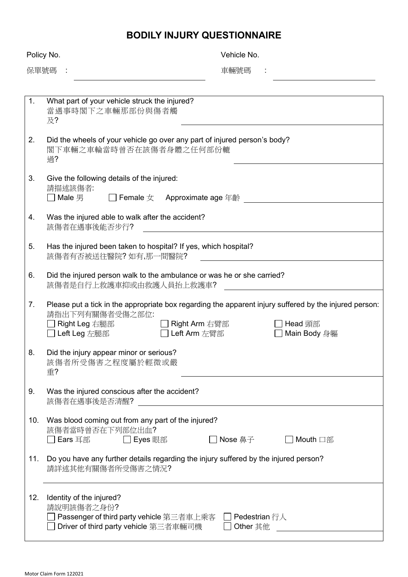### **BODILY INJURY QUESTIONNAIRE**

|                | Policy No.                                                                                                                                                                                           | Vehicle No.             |  |
|----------------|------------------------------------------------------------------------------------------------------------------------------------------------------------------------------------------------------|-------------------------|--|
| 保單號碼 :         |                                                                                                                                                                                                      | 車輛號碼                    |  |
|                |                                                                                                                                                                                                      |                         |  |
| 1.             | What part of your vehicle struck the injured?<br>當遇事時閣下之車輛那部份與傷者觸<br>及?                                                                                                                              |                         |  |
| 2.             | Did the wheels of your vehicle go over any part of injured person's body?<br>閣下車輛之車輪當時曾否在該傷者身體之任何部份轆<br>過?                                                                                           |                         |  |
| 3.             | Give the following details of the injured:<br>請描述該傷者:<br>$\Box$ Male 男<br>□ Female $ z$ Approximate age 年齡                                                                                           |                         |  |
| 4.             | Was the injured able to walk after the accident?<br>該傷者在遇事後能否步行?                                                                                                                                     |                         |  |
| 5.             | Has the injured been taken to hospital? If yes, which hospital?<br>該傷者有否被送往醫院? 如有,那一間醫院?                                                                                                             |                         |  |
| 6.             | Did the injured person walk to the ambulance or was he or she carried?<br>該傷者是自行上救護車抑或由救護人員抬上救護車?                                                                                                    |                         |  |
| 7 <sub>1</sub> | Please put a tick in the appropriate box regarding the apparent injury suffered by the injured person:<br>請指出下列有關傷者受傷之部位:<br>Right Arm 右臂部<br>Right Leg 右腿部<br>Left Arm 左臂部<br><b>□ Left Leg</b> 左腿部 | Head 頭部<br>Main Body 身軀 |  |
| 8              | Did the injury appear minor or serious?<br>該傷者所受傷害之程度屬於輕微或嚴<br>重?                                                                                                                                    |                         |  |
| 9.             | Was the injured conscious after the accident?<br>該傷者在遇事後是否清醒?                                                                                                                                        |                         |  |
| 10.            | Was blood coming out from any part of the injured?<br>該傷者當時曾否在下列部位出血?<br>Ears 耳部<br>Eyes 眼部                                                                                                          | Nose 鼻子<br>□ Mouth □部   |  |
| 11.            | Do you have any further details regarding the injury suffered by the injured person?<br>請詳述其他有關傷者所受傷害之情況?                                                                                            |                         |  |
| 12.            | Identity of the injured?<br>請說明該傷者之身份?<br>Passenger of third party vehicle 第三者車上乘客 □ Pedestrian 行人<br>Driver of third party vehicle 第三者車輛司機                                                          | Other 其他                |  |